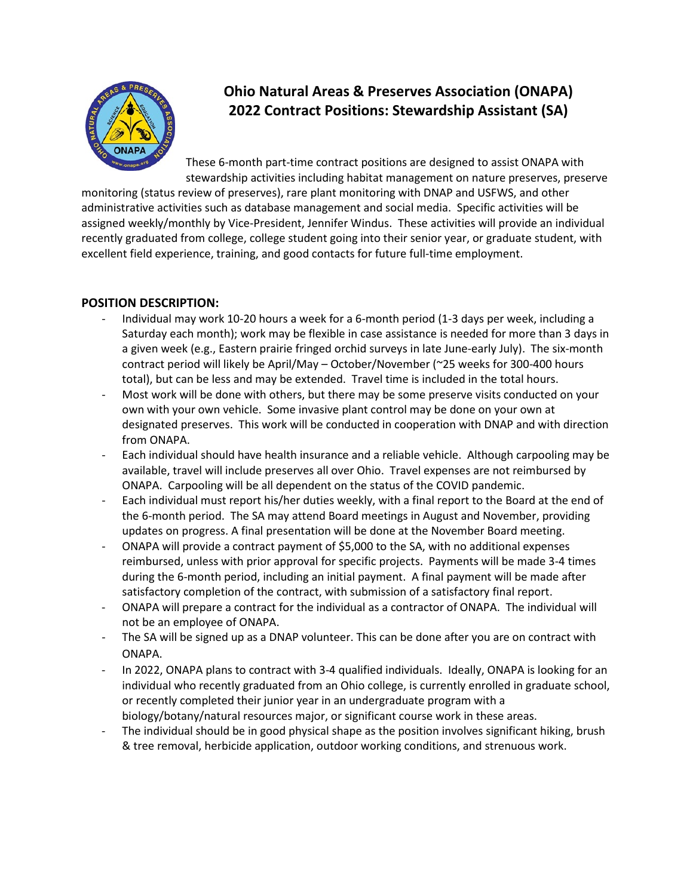

## **Ohio Natural Areas & Preserves Association (ONAPA) 2022 Contract Positions: Stewardship Assistant (SA)**

These 6-month part-time contract positions are designed to assist ONAPA with stewardship activities including habitat management on nature preserves, preserve

monitoring (status review of preserves), rare plant monitoring with DNAP and USFWS, and other administrative activities such as database management and social media. Specific activities will be assigned weekly/monthly by Vice-President, Jennifer Windus. These activities will provide an individual recently graduated from college, college student going into their senior year, or graduate student, with excellent field experience, training, and good contacts for future full-time employment.

## **POSITION DESCRIPTION:**

- Individual may work 10-20 hours a week for a 6-month period (1-3 days per week, including a Saturday each month); work may be flexible in case assistance is needed for more than 3 days in a given week (e.g., Eastern prairie fringed orchid surveys in late June-early July). The six-month contract period will likely be April/May – October/November (~25 weeks for 300-400 hours total), but can be less and may be extended. Travel time is included in the total hours.
- Most work will be done with others, but there may be some preserve visits conducted on your own with your own vehicle. Some invasive plant control may be done on your own at designated preserves. This work will be conducted in cooperation with DNAP and with direction from ONAPA.
- Each individual should have health insurance and a reliable vehicle. Although carpooling may be available, travel will include preserves all over Ohio. Travel expenses are not reimbursed by ONAPA. Carpooling will be all dependent on the status of the COVID pandemic.
- Each individual must report his/her duties weekly, with a final report to the Board at the end of the 6-month period. The SA may attend Board meetings in August and November, providing updates on progress. A final presentation will be done at the November Board meeting.
- ONAPA will provide a contract payment of \$5,000 to the SA, with no additional expenses reimbursed, unless with prior approval for specific projects. Payments will be made 3-4 times during the 6-month period, including an initial payment. A final payment will be made after satisfactory completion of the contract, with submission of a satisfactory final report.
- ONAPA will prepare a contract for the individual as a contractor of ONAPA. The individual will not be an employee of ONAPA.
- The SA will be signed up as a DNAP volunteer. This can be done after you are on contract with ONAPA.
- In 2022, ONAPA plans to contract with 3-4 qualified individuals. Ideally, ONAPA is looking for an individual who recently graduated from an Ohio college, is currently enrolled in graduate school, or recently completed their junior year in an undergraduate program with a biology/botany/natural resources major, or significant course work in these areas.
- The individual should be in good physical shape as the position involves significant hiking, brush & tree removal, herbicide application, outdoor working conditions, and strenuous work.